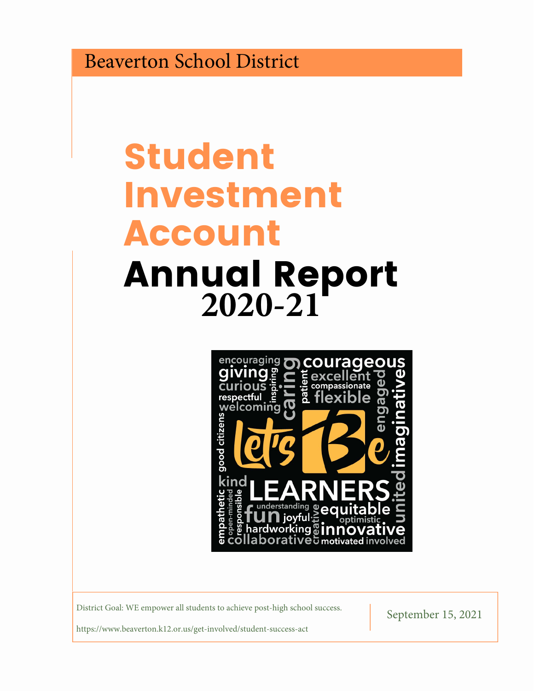Beaverton School District

# Student Investment Account Annual Report **2020-21**



District Goal: WE empower all students to achieve post-high school success.<br>September 15, 2021

https://www.beaverton.k12.or.us/get-involved/student-success-act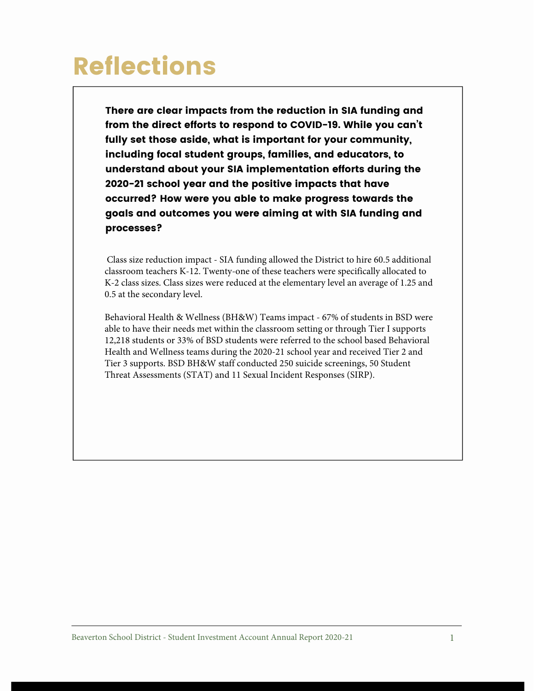There are clear impacts from the reduction in SIA funding and from the direct efforts to respond to COVID-19. While you can't fully set those aside, what is important for your community, including focal student groups, families, and educators, to understand about your SIA implementation efforts during the 2020-21 school year and the positive impacts that have occurred? How were you able to make progress towards the goals and outcomes you were aiming at with SIA funding and processes?

Class size reduction impact - SIA funding allowed the District to hire 60.5 additional classroom teachers K-12. Twenty-one of these teachers were specifically allocated to K-2 class sizes. Class sizes were reduced at the elementary level an average of 1.25 and 0.5 at the secondary level.

Behavioral Health & Wellness (BH&W) Teams impact - 67% of students in BSD were able to have their needs met within the classroom setting or through Tier I supports 12,218 students or 33% of BSD students were referred to the school based Behavioral Health and Wellness teams during the 2020-21 school year and received Tier 2 and Tier 3 supports. BSD BH&W staff conducted 250 suicide screenings, 50 Student Threat Assessments (STAT) and 11 Sexual Incident Responses (SIRP).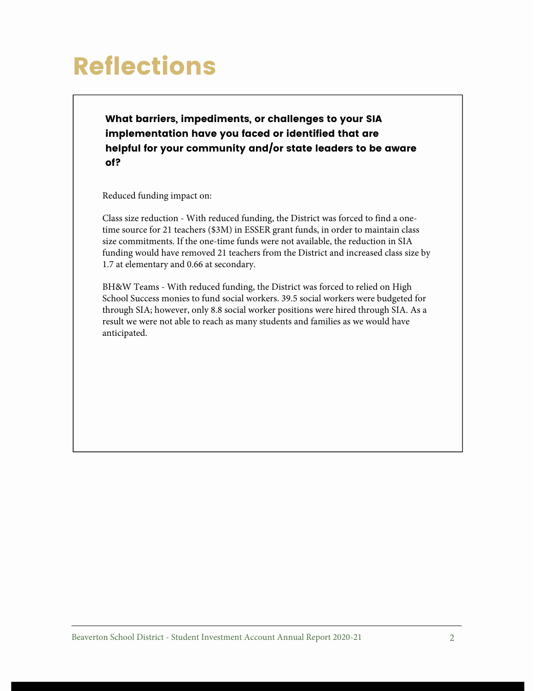What barriers, impediments, or challenges to your SIA implementation have you faced or identified that are helpful for your community and/or state leaders to be aware of?

Reduced funding impact on:

Class size reduction - With reduced funding, the District was forced to find a onetime source for 21 teachers (\$3M) in ESSER grant funds, in order to maintain class size commitments. If the one-time funds were not available, the reduction in SIA funding would have removed 21 teachers from the District and increased class size by 1.7 at elementary and 0.66 at secondary.

BH&W Teams - With reduced funding, the District was forced to relied on High School Success monies to fund social workers. 39.5 social workers were budgeted for through SIA; however, only 8.8 social worker positions were hired through SIA. As a result we were not able to reach as many students and families as we would have anticipated.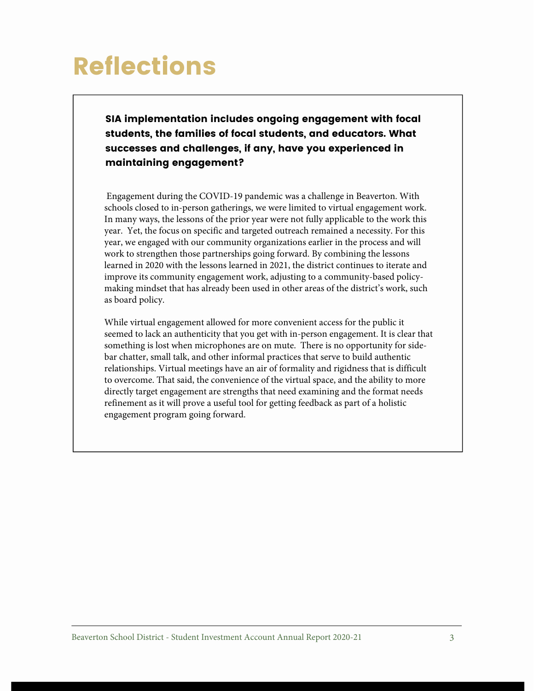SIA implementation includes ongoing engagement with focal students, the families of focal students, and educators. What successes and challenges, if any, have you experienced in maintaining engagement?

Engagement during the COVID-19 pandemic was a challenge in Beaverton. With schools closed to in-person gatherings, we were limited to virtual engagement work. In many ways, the lessons of the prior year were not fully applicable to the work this year. Yet, the focus on specific and targeted outreach remained a necessity. For this year, we engaged with our community organizations earlier in the process and will work to strengthen those partnerships going forward. By combining the lessons learned in 2020 with the lessons learned in 2021, the district continues to iterate and improve its community engagement work, adjusting to a community-based policymaking mindset that has already been used in other areas of the district's work, such as board policy.

While virtual engagement allowed for more convenient access for the public it seemed to lack an authenticity that you get with in-person engagement. It is clear that something is lost when microphones are on mute. There is no opportunity for sidebar chatter, small talk, and other informal practices that serve to build authentic relationships. Virtual meetings have an air of formality and rigidness that is difficult to overcome. That said, the convenience of the virtual space, and the ability to more directly target engagement are strengths that need examining and the format needs refinement as it will prove a useful tool for getting feedback as part of a holistic engagement program going forward.